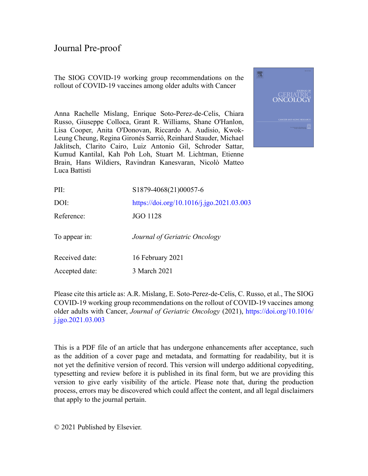The SIOG COVID-19 working group recommendations on the rollout of COVID-19 vaccines among older adults with Cancer



Anna Rachelle Mislang, Enrique Soto-Perez-de-Celis, Chiara Russo, Giuseppe Colloca, Grant R. Williams, Shane O'Hanlon, Lisa Cooper, Anita O'Donovan, Riccardo A. Audisio, Kwok-Leung Cheung, Regina Gironés Sarrió, Reinhard Stauder, Michael Jaklitsch, Clarito Cairo, Luiz Antonio Gil, Schroder Sattar, Kumud Kantilal, Kah Poh Loh, Stuart M. Lichtman, Etienne Brain, Hans Wildiers, Ravindran Kanesvaran, Nicolò Matteo Luca Battisti

| PII:           | S1879-4068(21)00057-6                     |
|----------------|-------------------------------------------|
| DOI:           | https://doi.org/10.1016/j.jgo.2021.03.003 |
| Reference:     | JGO 1128                                  |
| To appear in:  | Journal of Geriatric Oncology             |
| Received date: | 16 February 2021                          |
| Accepted date: | 3 March 2021                              |

Please cite this article as: A.R. Mislang, E. Soto-Perez-de-Celis, C. Russo, et al., The SIOG COVID-19 working group recommendations on the rollout of COVID-19 vaccines among older adults with Cancer, *Journal of Geriatric Oncology* (2021), [https://doi.org/10.1016/](https://doi.org/10.1016/j.jgo.2021.03.003) [j.jgo.2021.03.003](https://doi.org/10.1016/j.jgo.2021.03.003)

This is a PDF file of an article that has undergone enhancements after acceptance, such as the addition of a cover page and metadata, and formatting for readability, but it is not yet the definitive version of record. This version will undergo additional copyediting, typesetting and review before it is published in its final form, but we are providing this version to give early visibility of the article. Please note that, during the production process, errors may be discovered which could affect the content, and all legal disclaimers that apply to the journal pertain.

© 2021 Published by Elsevier.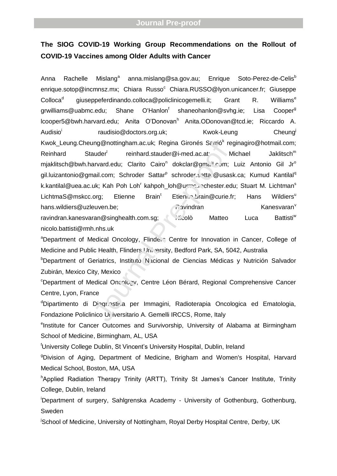# **The SIOG COVID-19 Working Group Recommendations on the Rollout of COVID-19 Vaccines among Older Adults with Cancer**

Anna Rachelle Mislang<sup>a</sup> anna.mislang@sa.gov.au; Enrique Soto-Perez-de-Celis<sup>b</sup> enrique.sotop@incmnsz.mx; Chiara Russo<sup>c</sup> Chiara.RUSSO@lyon.unicancer.fr; Giuseppe Colloca<sup>d</sup> giuseppeferdinando.colloca@policlinicogemelli.it; Grant R. Williams<sup>e</sup> grwilliams@uabmc.edu; Shane O'Hanlon<sup>f</sup> shaneohanlon@svhg.ie; Lisa Cooper<sup>g</sup> lcooper5@bwh.harvard.edu; Anita O'Donovan<sup>h</sup> Anita.ODonovan@tcd.ie; Riccardo A. Audisio<sup>i</sup> raudisio@doctors.org.uk; Kwok-Leung Cheung<sup>j</sup> Kwok\_Leung.Cheung@nottingham.ac.uk; Regina Gironés Sarrió<sup>k</sup> reginagiro@hotmail.com; Reinhard Stauder reinhard.stauder@i-med.ac.at; Michael Jaklitsch<sup>m</sup> mjaklitsch@bwh.harvard.edu; Clarito Cairo<sup>n</sup> dokclar@gmail.com; Luiz Antonio Gil Jr<sup>o</sup> gil.luizantonio@gmail.com; Schroder Sattar<sup>p</sup> schrodersatta@usask.ca; Kumud Kantilal<sup>q</sup> k.kantilal@uea.ac.uk; Kah Poh Loh' kahpoh\_loh@urmc.rochester.edu; Stuart M. Lichtman<sup>s</sup> LichtmaS@mskcc.org; Etienne Brain<sup>t</sup> Etienne.org/prain@curie.fr; Hans Wildiers<sup>u</sup> hans.wildiers@uzleuven.be; example a state of a symptom of a state of  $R$  avindran Kanesvaran<sup>v</sup> ravindran.kanesvaran@singhealth.com.sg; Nicolò Matteo Luca Battisti<sup>w</sup> nner (Character Character Character Character Character Character Character Character Character Character Character Character Character Character Character Character Character Character Character Character Character Charac

nicolo.battisti@rmh.nhs.uk

<sup>a</sup>Department of Medical Oncology, Flinders Centre for Innovation in Cancer, College of Medicine and Public Health, Flinders University, Bedford Park, SA, 5042, Australia

<sup>b</sup>Department of Geriatrics, Instituto Nacional de Ciencias Médicas y Nutrición Salvador Zubirán, Mexico City, Mexico

<sup>c</sup>Department of Medical Oncology, Centre Léon Bérard, Regional Comprehensive Cancer Centre, Lyon, France

dDipartimento di Diagnostica per Immagini, Radioterapia Oncologica ed Ematologia, Fondazione Policlinico U<sub>l</sub> iversitario A. Gemelli IRCCS, Rome, Italy

eInstitute for Cancer Outcomes and Survivorship, University of Alabama at Birmingham School of Medicine, Birmingham, AL, USA

<sup>f</sup>University College Dublin, St Vincent's University Hospital, Dublin, Ireland

<sup>g</sup>Division of Aging, Department of Medicine, Brigham and Women's Hospital, Harvard Medical School, Boston, MA, USA

hApplied Radiation Therapy Trinity (ARTT), Trinity St James's Cancer Institute, Trinity College, Dublin, Ireland

<sup>i</sup>Department of surgery, Sahlgrenska Academy - University of Gothenburg, Gothenburg, Sweden

<sup>j</sup>School of Medicine, University of Nottingham, Royal Derby Hospital Centre, Derby, UK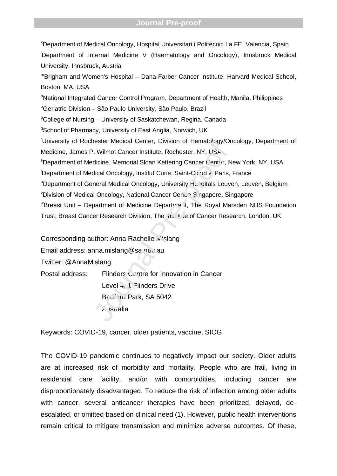<sup>k</sup>Department of Medical Oncology, Hospital Universitari i Politècnic La FE, Valencia, Spain <sup>l</sup>Department of Internal Medicine V (Haematology and Oncology), Innsbruck Medical University, Innsbruck, Austria <sup>m</sup>Brigham and Women's Hospital – Dana-Farber Cancer Institute, Harvard Medical School, Boston, MA, USA <sup>n</sup>National Integrated Cancer Control Program, Department of Health, Manila, Philippines <sup>o</sup>Geriatric Division - São Paulo University, São Paulo, Brazil <sup>P</sup>College of Nursing – University of Saskatchewan, Regina, Canada <sup>q</sup>School of Pharmacy, University of East Anglia, Norwich, UK <sup>r</sup>University of Rochester Medical Center, Division of Hematology/Oncology, Department of Medicine, James P. Wilmot Cancer Institute, Rochester, NY, USA **SDepartment of Medicine, Memorial Sloan Kettering Cancer Center, New York, NY, USA** tDepartment of Medical Oncology, Institut Curie, Saint-Cloud & Paris, France "Department of General Medical Oncology, University Hospitals Leuven, Leuven, Belgium VDivision of Medical Oncology, National Cancer Centre Singapore, Singapore WBreast Unit – Department of Medicine Department, The Royal Marsden NHS Foundation Trust, Breast Cancer Research Division, The Institute of Cancer Research, London, UK Resert Medical Center, Division of Tremato-ogy/Or<br>
2. Wilmot Cancer Institute, Rochester, NY, USA<br>
dicine, Memorial Sloan Kettering Cancer Center, N<br>
dical Oncology, Institut Curie, Saint-Clc ud & Paris,<br>
neral Medical On

Corresponding author: Anna Rachelle Mislang

Email address: anna.mislang@sa.gov.au

Twitter: @AnnaMislang

Postal address: Flinders Centre for Innovation in Cancer Level 4, 1 Flinders Drive Bedinru Park, SA 5042

انداند*(ت* 

Keywords: COVID-19, cancer, older patients, vaccine, SIOG

The COVID-19 pandemic continues to negatively impact our society. Older adults are at increased risk of morbidity and mortality. People who are frail, living in residential care facility, and/or with comorbidities, including cancer are disproportionately disadvantaged. To reduce the risk of infection among older adults with cancer, several anticancer therapies have been prioritized, delayed, deescalated, or omitted based on clinical need (1). However, public health interventions remain critical to mitigate transmission and minimize adverse outcomes. Of these,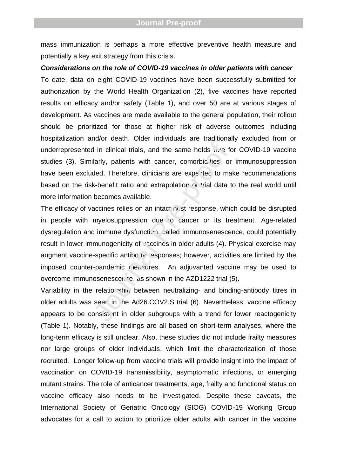mass immunization is perhaps a more effective preventive health measure and potentially a key exit strategy from this crisis.

*Considerations on the role of COVID-19 vaccines in older patients with cancer* To date, data on eight COVID-19 vaccines have been successfully submitted for authorization by the World Health Organization (2), five vaccines have reported results on efficacy and/or safety (Table 1), and over 50 are at various stages of development. As vaccines are made available to the general population, their rollout should be prioritized for those at higher risk of adverse outcomes including hospitalization and/or death. Older individuals are traditionally excluded from or underrepresented in clinical trials, and the same holds  $\mathbf{u}$  is for COVID-19 vaccine studies (3). Similarly, patients with cancer, comorbio ties, or immunosuppression have been excluded. Therefore, clinicians are experted to make recommendations based on the risk-benefit ratio and extrapolation  $\alpha$  trial data to the real world until more information becomes available.

The efficacy of vaccines relies on an intact in st response, which could be disrupted in people with myelosuppression due to cancer or its treatment. Age-related dysregulation and immune dysfunction, called immunosenescence, could potentially result in lower immunogenicity of vaccines in older adults (4). Physical exercise may augment vaccine-specific antibody responses; however, activities are limited by the imposed counter-pandemic riedsures. An adjuvanted vaccine may be used to overcome immunosenescence, as shown in the AZD1222 trial (5). d in clinical trials, and the same holds  $u$ ,  $u$  for filarly, patients with cancer, comorbio ties, or ded. Therefore, clinicians are expected to mak-benefit ratio and extrapolation on trial data to becomes available.<br>acc

Variability in the relationship between neutralizing- and binding-antibody titres in older adults was seen in he Ad26.COV2.S trial (6). Nevertheless, vaccine efficacy appears to be consistent in older subgroups with a trend for lower reactogenicity (Table 1). Notably, these findings are all based on short-term analyses, where the long-term efficacy is still unclear. Also, these studies did not include frailty measures nor large groups of older individuals, which limit the characterization of those recruited. Longer follow-up from vaccine trials will provide insight into the impact of vaccination on COVID-19 transmissibility, asymptomatic infections, or emerging mutant strains. The role of anticancer treatments, age, frailty and functional status on vaccine efficacy also needs to be investigated. Despite these caveats, the International Society of Geriatric Oncology (SIOG) COVID-19 Working Group advocates for a call to action to prioritize older adults with cancer in the vaccine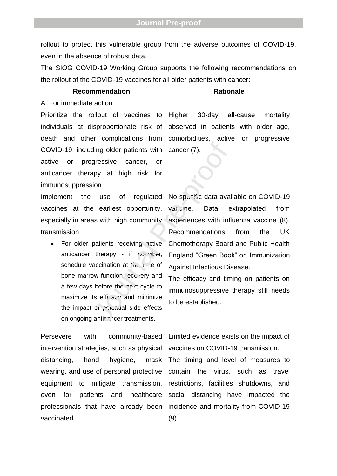rollout to protect this vulnerable group from the adverse outcomes of COVID-19, even in the absence of robust data.

The SIOG COVID-19 Working Group supports the following recommendations on the rollout of the COVID-19 vaccines for all older patients with cancer:

### **Recommendation Rationale**

A. For immediate action

Prioritize the rollout of vaccines to Higher death and other complications from COVID-19, including older patients with cancer (7). active or progressive cancer, or anticancer therapy at high risk for immunosuppression

Implement the use of regulated vaccines at the earliest opportunity, especially in areas with high community transmission

 For older patients receiving active anticancer therapy - if possible, schedule vaccination at  $t \to t$  time of bone marrow function ecovery and a few days before the next cycle to maximize its efficacy and minimize the impact of potential side effects on ongoing anticalcer treatments. ding older patients with cancer (7).<br>
gressive cancer, or<br>
apy at high risk for<br>
ion<br>
use of regulated No specific data avai<br>
earliest opportunity, vactine. Data<br>
as with high community experiences with infl<br>
Recommendati

intervention strategies, such as physical distancing, hand hygiene, mask wearing, and use of personal protective equipment to mitigate transmission, even for patients and healthcare professionals that have already been incidence and mortality from COVID-19 vaccinated

individuals at disproportionate risk of observed in patients with older age, 30-day all-cause mortality active or progressive

> No specific data available on COVID-19  $V$ <sub>4</sub> $C$ <sub>2</sub>ine. Data extrapolated from experiences with influenza vaccine (8). Recommendations from the UK Chemotherapy Board and Public Health England "Green Book" on Immunization Against Infectious Disease.

> The efficacy and timing on patients on immunosuppressive therapy still needs to be established.

Persevere with community-based Limited evidence exists on the impact of vaccines on COVID-19 transmission.

> The timing and level of measures to contain the virus, such as travel restrictions, facilities shutdowns, and social distancing have impacted the (9).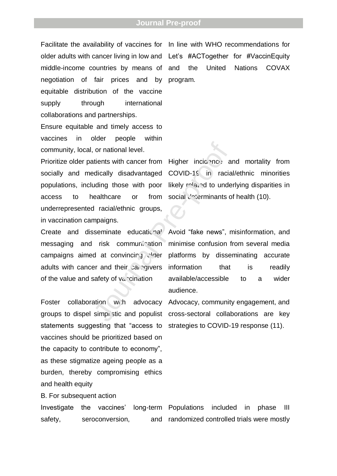older adults with cancer living in low and Let's #ACTogether for #VaccinEquity middle-income countries by means of negotiation of fair prices and by equitable distribution of the vaccine supply through international collaborations and partnerships.

Ensure equitable and timely access to vaccines in older people within community, local, or national level.

socially and medically disadvantaged populations, including those with poor access to healthcare or from underrepresented racial/ethnic groups, in vaccination campaigns. or national level.<br>
Atients with cancer from Higher incidency and<br>
adically disadvantaged COVID-19 in racial<br>
uding those with poor likely related to under<br>
ealthcare or from social deforminants of<br>
at racial/ethnic groups

Create and disseminate educational messaging and risk communication campaigns aimed at convincing  $C$  der adults with cancer and their caregivers of the value and safety of  $v_{\alpha}$  cination

Foster collaboration with advocacy statements suggesting that "access to strategies to COVID-19 response (11). vaccines should be prioritized based on the capacity to contribute to economy", as these stigmatize ageing people as a burden, thereby compromising ethics and health equity

B. For subsequent action

Investigate the vaccines' safety, seroconversion, long-term Populations included in phase III and randomized controlled trials were mostly

Facilitate the availability of vaccines for In line with WHO recommendations for and the United Nations COVAX program.

Prioritize older patients with cancer from Higher incidence and mortality from COVID-19 in racial/ethnic minorities likely related to underlying disparities in social  $d^2$ : erminants of health (10).

> Avoid "fake news", misinformation, and minimise confusion from several media platforms by disseminating accurate information that is readily available/accessible to a wider audience.

groups to dispel simplistic and populist cross-sectoral collaborations are key Advocacy, community engagement, and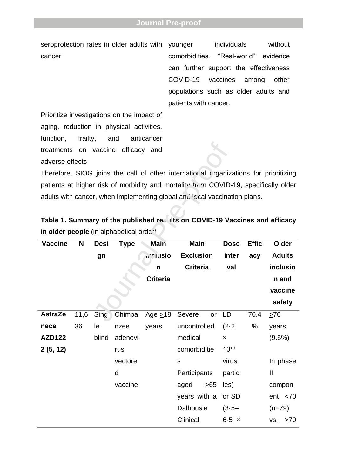seroprotection rates in older adults with younger cancer

individuals without comorbidities. "Real-world" evidence can further support the effectiveness COVID-19 vaccines among other populations such as older adults and patients with cancer.

Prioritize investigations on the impact of aging, reduction in physical activities, function, frailty, and anticancer treatments on vaccine efficacy and adverse effects

| Table 1. Summary of the published resilts on COVID-19 Vaccines and efficacy |  |  |
|-----------------------------------------------------------------------------|--|--|
| in older people (in alphabetical order)                                     |  |  |

| treatments on vaccine                                                                |      |             | efficacy and |                                                                             |                  |           |                           |              |               |  |
|--------------------------------------------------------------------------------------|------|-------------|--------------|-----------------------------------------------------------------------------|------------------|-----------|---------------------------|--------------|---------------|--|
| adverse effects                                                                      |      |             |              |                                                                             |                  |           |                           |              |               |  |
| Therefore, SIOG joins the call of other international erganizations for prioritizing |      |             |              |                                                                             |                  |           |                           |              |               |  |
| patients at higher risk of morbidity and mortality from COVID-19, specifically older |      |             |              |                                                                             |                  |           |                           |              |               |  |
| adults with cancer, when implementing global and Islam vaccination plans.            |      |             |              |                                                                             |                  |           |                           |              |               |  |
|                                                                                      |      |             |              |                                                                             |                  |           |                           |              |               |  |
|                                                                                      |      |             |              | Table 1. Summary of the published resalts on COVID-19 Vaccines and efficacy |                  |           |                           |              |               |  |
| in older people (in alphabetical order)                                              |      |             |              |                                                                             |                  |           |                           |              |               |  |
| <b>Vaccine</b>                                                                       | N    | <b>Desi</b> | <b>Type</b>  | <b>Main</b>                                                                 | <b>Main</b>      |           | <b>Dose</b>               | <b>Effic</b> | Older         |  |
|                                                                                      |      | gn          |              | . clusio                                                                    | <b>Exclusion</b> |           | inter                     | acy          | <b>Adults</b> |  |
|                                                                                      |      |             |              | n                                                                           | <b>Criteria</b>  |           | val                       |              | inclusio      |  |
|                                                                                      |      |             |              | <b>Criteria</b>                                                             |                  |           |                           |              | n and         |  |
|                                                                                      |      |             |              |                                                                             |                  |           |                           |              |               |  |
|                                                                                      |      |             |              |                                                                             |                  |           |                           |              | vaccine       |  |
|                                                                                      |      |             |              |                                                                             |                  |           |                           |              | safety        |  |
| <b>AstraZe</b>                                                                       | 11,6 | Sing        | Chimpa       | Age $\geq$ 18                                                               | Severe           | or        | LD                        | 70.4         | $\geq 70$     |  |
| neca                                                                                 | 36   | le          | nzee         | years                                                                       | uncontrolled     |           | $(2-2)$                   | %            | years         |  |
| <b>AZD122</b>                                                                        |      | blind       | adenovi      |                                                                             | medical          |           | $\boldsymbol{\mathsf{x}}$ |              | $(9.5\%)$     |  |
| 2(5, 12)                                                                             |      |             | rus          |                                                                             | comorbiditie     |           | $10^{10}$                 |              |               |  |
|                                                                                      |      |             | vectore      |                                                                             | ${\sf S}$        |           | virus                     |              | In phase      |  |
|                                                                                      |      |             | d            |                                                                             | Participants     |           | partic                    |              | $\mathbf{I}$  |  |
|                                                                                      |      |             | vaccine      |                                                                             | aged             | $\geq 65$ | les)                      |              | compon        |  |
|                                                                                      |      |             |              |                                                                             | years with a     |           | or SD                     |              | ent < 70      |  |
|                                                                                      |      |             |              |                                                                             | Dalhousie        |           | $(3.5 -$                  |              | $(n=79)$      |  |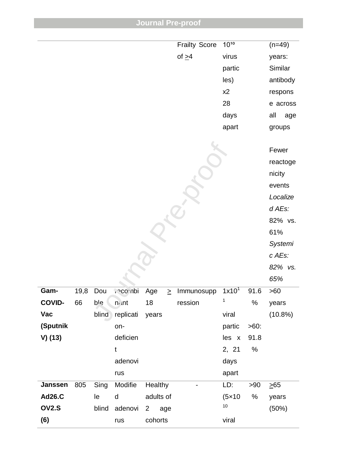|               |      |       |             |                       | <b>Frailty Score</b>         | $10^{10}$         |         | $(n=49)$   |          |
|---------------|------|-------|-------------|-----------------------|------------------------------|-------------------|---------|------------|----------|
|               |      |       |             |                       | of $\geq 4$                  | virus             |         | years:     |          |
|               |      |       |             |                       |                              | partic            |         | Similar    |          |
|               |      |       |             |                       |                              | les)              |         | antibody   |          |
|               |      |       |             |                       |                              | x2                |         | respons    |          |
|               |      |       |             |                       |                              | 28                |         |            | e across |
|               |      |       |             |                       |                              | days              |         | all        | age      |
|               |      |       |             |                       |                              | apart             |         | groups     |          |
|               |      |       |             |                       |                              |                   |         |            |          |
|               |      |       |             |                       |                              |                   |         | Fewer      |          |
|               |      |       |             |                       |                              |                   |         |            | reactoge |
|               |      |       |             |                       |                              |                   |         | nicity     |          |
|               |      |       |             |                       |                              |                   |         | events     |          |
|               |      |       |             |                       |                              |                   |         | Localize   |          |
|               |      |       |             |                       |                              |                   |         | d AEs:     |          |
|               |      |       |             |                       |                              |                   |         |            | 82% vs.  |
|               |      |       |             |                       |                              |                   |         | 61%        |          |
|               |      |       |             |                       |                              |                   |         | Systemi    |          |
|               |      |       |             |                       |                              |                   |         | c AEs:     |          |
|               |      |       |             |                       |                              |                   |         |            | 82% vs.  |
|               |      |       |             |                       |                              |                   |         | 65%        |          |
| Gam-          | 19,8 | Dou   | idniope,    | Age<br>$\geq$         | Immunosupp                   | 1x10 <sup>1</sup> | 91.6    | >60        |          |
| <b>COVID-</b> | 66   | ble   | $n$ int     | 18                    | ression                      | 1                 | $\%$    | years      |          |
| Vac           |      | blind | replicati   | years                 |                              | viral             |         | $(10.8\%)$ |          |
| (Sputnik      |      |       | on-         |                       |                              | partic            | $>60$ : |            |          |
| $V)$ (13)     |      |       | deficien    |                       |                              | les x             | 91.8    |            |          |
|               |      |       | $\mathbf t$ |                       |                              | 2, 21             | %       |            |          |
|               |      |       | adenovi     |                       |                              | days              |         |            |          |
|               |      |       | rus         |                       |                              | apart             |         |            |          |
| Janssen       | 805  | Sing  | Modifie     | Healthy               | $\qquad \qquad \blacksquare$ | LD:               | > 90    | $\geq 65$  |          |
| <b>Ad26.C</b> |      | le    | $\sf d$     | adults of             |                              | (5x10)            | %       | years      |          |
| <b>OV2.S</b>  |      | blind | adenovi     | age<br>$\overline{2}$ |                              | $10$              |         | (50%)      |          |
| (6)           |      |       | rus         | cohorts               |                              | viral             |         |            |          |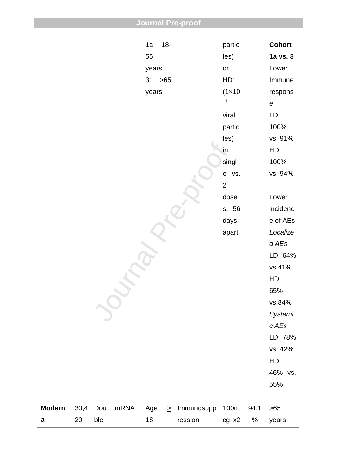| <b>Journal Pre-proof</b> |  |  |  |
|--------------------------|--|--|--|
|                          |  |  |  |

|               |      |     |      | $1a$ : | $18-$     |            | partic          |                                     | <b>Cohort</b> |
|---------------|------|-----|------|--------|-----------|------------|-----------------|-------------------------------------|---------------|
|               |      |     |      | 55     |           |            | les)            |                                     | 1a vs. 3      |
|               |      |     |      | years  |           |            | or              |                                     | Lower         |
|               |      |     |      | 3:     | $\geq 65$ |            | HD:             |                                     | Immune        |
|               |      |     |      | years  |           |            | $(1 \times 10)$ |                                     | respons       |
|               |      |     |      |        |           |            | 11              |                                     | $\mathsf e$   |
|               |      |     |      |        |           |            | viral           |                                     | LD:           |
|               |      |     |      |        |           |            | partic          |                                     | 100%          |
|               |      |     |      |        |           |            | les)            |                                     | vs. 91%       |
|               |      |     |      |        |           |            | in              |                                     | HD:           |
|               |      |     |      |        |           |            | singl           |                                     | 100%          |
|               |      |     |      |        |           |            | e vs.           |                                     | vs. 94%       |
|               |      |     |      |        |           |            | $\overline{2}$  |                                     |               |
|               |      |     |      |        |           |            | dose            |                                     | Lower         |
|               |      |     |      |        |           |            | s, 56           |                                     | incidenc      |
|               |      |     |      |        |           |            | days            |                                     | e of AEs      |
|               |      |     |      |        |           |            | apart           |                                     | Localize      |
|               |      |     |      |        |           |            |                 |                                     | d AEs         |
|               |      |     |      |        |           |            |                 |                                     | LD: 64%       |
|               |      |     |      |        |           |            |                 |                                     | vs.41%        |
|               |      |     |      |        |           |            |                 |                                     | HD:           |
|               |      |     |      |        |           |            |                 |                                     | 65%           |
|               |      |     |      |        |           |            |                 |                                     | vs.84%        |
|               |      |     |      |        |           |            |                 |                                     | Systemi       |
|               |      |     |      |        |           |            |                 |                                     | c AEs         |
|               |      |     |      |        |           |            |                 |                                     | LD: 78%       |
|               |      |     |      |        |           |            |                 |                                     | vs. 42%       |
|               |      |     |      |        |           |            |                 |                                     | HD:           |
|               |      |     |      |        |           |            |                 |                                     | 46% vs.       |
|               |      |     |      |        |           |            |                 |                                     | 55%           |
|               |      |     |      |        |           |            |                 |                                     |               |
| <b>Modern</b> | 30,4 | Dou | mRNA | Age    | $\geq$    | Immunosupp | 100m            | 94.1                                | $>65$         |
| a             | 20   | ble |      | 18     |           | ression    | cg x2           | $% \mathcal{A}=\mathcal{A}^{\ast }$ | years         |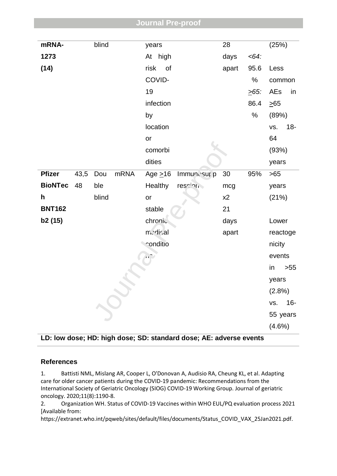| mRNA-          |      | blind |      | years        |                   |             | 28    |         | (25%)     |          |  |  |
|----------------|------|-------|------|--------------|-------------------|-------------|-------|---------|-----------|----------|--|--|
| 1273           |      |       |      |              | At high           |             | days  | $<64$ : |           |          |  |  |
| (14)           |      |       |      | risk         | $\circ$ of        |             | apart | 95.6    | Less      |          |  |  |
|                |      |       |      |              | COVID-            |             |       | $\%$    | common    |          |  |  |
|                |      |       |      | 19           |                   |             |       | $.65$ : | AEs       | in       |  |  |
|                |      |       |      |              | infection         |             |       | 86.4    | $\geq 65$ |          |  |  |
|                |      |       |      | by           |                   |             |       | $\%$    | (89%)     |          |  |  |
|                |      |       |      |              | location          |             |       |         | VS.       | $18 -$   |  |  |
|                |      |       |      | or           |                   |             |       |         | 64        |          |  |  |
|                |      |       |      |              | comorbi           |             |       |         | (93%)     |          |  |  |
|                |      |       |      | dities       |                   |             |       |         | years     |          |  |  |
| <b>Pfizer</b>  | 43,5 | Dou   | mRNA |              | Age $\geq$ 16     | Immunosur p | 30    | 95%     | >65       |          |  |  |
| <b>BioNTec</b> | 48   | ble   |      |              | Healthy           | ression     | mcg   |         | years     |          |  |  |
| h              |      | blind |      | or           |                   |             | x2    |         | (21%)     |          |  |  |
| <b>BNT162</b>  |      |       |      | stable       |                   |             | 21    |         |           |          |  |  |
| b2 (15)        |      |       |      |              | chronic           |             | days  |         | Lower     |          |  |  |
|                |      |       |      |              | n di cal<br>apart |             |       |         |           | reactoge |  |  |
|                |      |       |      |              | conditio          |             |       |         | nicity    |          |  |  |
|                |      |       |      | $\mathbf{K}$ |                   |             |       |         | events    |          |  |  |
|                |      |       |      |              |                   |             |       |         | in        | $>55$    |  |  |
|                |      |       |      |              |                   |             |       |         | years     |          |  |  |
|                |      |       |      |              |                   |             |       |         | $(2.8\%)$ |          |  |  |
|                |      |       |      |              |                   |             |       |         | VS.       | $16-$    |  |  |
|                |      |       |      |              |                   |             |       |         |           | 55 years |  |  |
|                |      |       |      |              |                   |             |       |         | $(4.6\%)$ |          |  |  |

## **LD: low dose; HD: high dose; SD: standard dose; AE: adverse events**

## **References**

1. Battisti NML, Mislang AR, Cooper L, O'Donovan A, Audisio RA, Cheung KL, et al. Adapting care for older cancer patients during the COVID-19 pandemic: Recommendations from the International Society of Geriatric Oncology (SIOG) COVID-19 Working Group. Journal of geriatric oncology. 2020;11(8):1190-8.

2. Organization WH. Status of COVID-19 Vaccines within WHO EUL/PQ evaluation process 2021 [Available from:

https://extranet.who.int/pqweb/sites/default/files/documents/Status\_COVID\_VAX\_25Jan2021.pdf.